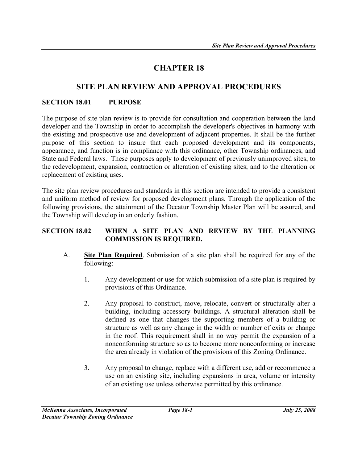# CHAPTER 18

# SITE PLAN REVIEW AND APPROVAL PROCEDURES

#### SECTION 18.01 PURPOSE

The purpose of site plan review is to provide for consultation and cooperation between the land developer and the Township in order to accomplish the developer's objectives in harmony with the existing and prospective use and development of adjacent properties. It shall be the further purpose of this section to insure that each proposed development and its components, appearance, and function is in compliance with this ordinance, other Township ordinances, and State and Federal laws. These purposes apply to development of previously unimproved sites; to the redevelopment, expansion, contraction or alteration of existing sites; and to the alteration or replacement of existing uses.

The site plan review procedures and standards in this section are intended to provide a consistent and uniform method of review for proposed development plans. Through the application of the following provisions, the attainment of the Decatur Township Master Plan will be assured, and the Township will develop in an orderly fashion.

#### SECTION 18.02 WHEN A SITE PLAN AND REVIEW BY THE PLANNING COMMISSION IS REQUIRED.

- A. Site Plan Required. Submission of a site plan shall be required for any of the following:
	- 1. Any development or use for which submission of a site plan is required by provisions of this Ordinance.
	- 2. Any proposal to construct, move, relocate, convert or structurally alter a building, including accessory buildings. A structural alteration shall be defined as one that changes the supporting members of a building or structure as well as any change in the width or number of exits or change in the roof. This requirement shall in no way permit the expansion of a nonconforming structure so as to become more nonconforming or increase the area already in violation of the provisions of this Zoning Ordinance.
	- 3. Any proposal to change, replace with a different use, add or recommence a use on an existing site, including expansions in area, volume or intensity of an existing use unless otherwise permitted by this ordinance.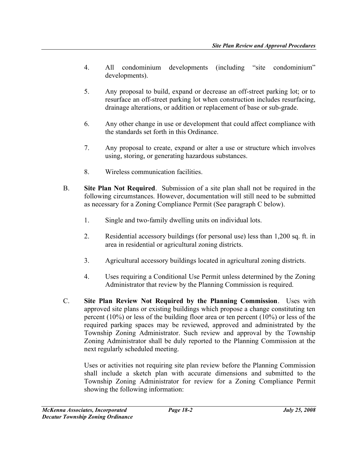- 4. All condominium developments (including "site condominium" developments).
- 5. Any proposal to build, expand or decrease an off-street parking lot; or to resurface an off-street parking lot when construction includes resurfacing, drainage alterations, or addition or replacement of base or sub-grade.
- 6. Any other change in use or development that could affect compliance with the standards set forth in this Ordinance.
- 7. Any proposal to create, expand or alter a use or structure which involves using, storing, or generating hazardous substances.
- 8. Wireless communication facilities.
- B. Site Plan Not Required. Submission of a site plan shall not be required in the following circumstances. However, documentation will still need to be submitted as necessary for a Zoning Compliance Permit (See paragraph C below).
	- 1. Single and two-family dwelling units on individual lots.
	- 2. Residential accessory buildings (for personal use) less than 1,200 sq. ft. in area in residential or agricultural zoning districts.
	- 3. Agricultural accessory buildings located in agricultural zoning districts.
	- 4. Uses requiring a Conditional Use Permit unless determined by the Zoning Administrator that review by the Planning Commission is required.
- C. Site Plan Review Not Required by the Planning Commission. Uses with approved site plans or existing buildings which propose a change constituting ten percent (10%) or less of the building floor area or ten percent (10%) or less of the required parking spaces may be reviewed, approved and administrated by the Township Zoning Administrator. Such review and approval by the Township Zoning Administrator shall be duly reported to the Planning Commission at the next regularly scheduled meeting.

Uses or activities not requiring site plan review before the Planning Commission shall include a sketch plan with accurate dimensions and submitted to the Township Zoning Administrator for review for a Zoning Compliance Permit showing the following information: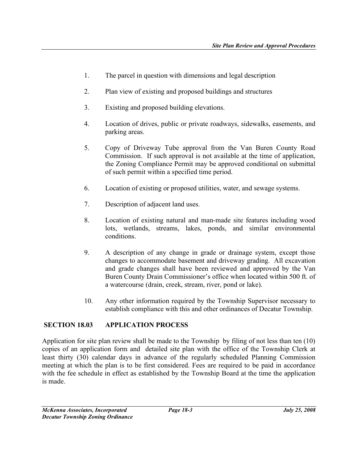- 1. The parcel in question with dimensions and legal description
- 2. Plan view of existing and proposed buildings and structures
- 3. Existing and proposed building elevations.
- 4. Location of drives, public or private roadways, sidewalks, easements, and parking areas.
- 5. Copy of Driveway Tube approval from the Van Buren County Road Commission. If such approval is not available at the time of application, the Zoning Compliance Permit may be approved conditional on submittal of such permit within a specified time period.
- 6. Location of existing or proposed utilities, water, and sewage systems.
- 7. Description of adjacent land uses.
- 8. Location of existing natural and man-made site features including wood lots, wetlands, streams, lakes, ponds, and similar environmental conditions.
- 9. A description of any change in grade or drainage system, except those changes to accommodate basement and driveway grading. All excavation and grade changes shall have been reviewed and approved by the Van Buren County Drain Commissioner's office when located within 500 ft. of a watercourse (drain, creek, stream, river, pond or lake).
- 10. Any other information required by the Township Supervisor necessary to establish compliance with this and other ordinances of Decatur Township.

#### SECTION 18.03 APPLICATION PROCESS

Application for site plan review shall be made to the Township by filing of not less than ten (10) copies of an application form and detailed site plan with the office of the Township Clerk at least thirty (30) calendar days in advance of the regularly scheduled Planning Commission meeting at which the plan is to be first considered. Fees are required to be paid in accordance with the fee schedule in effect as established by the Township Board at the time the application is made.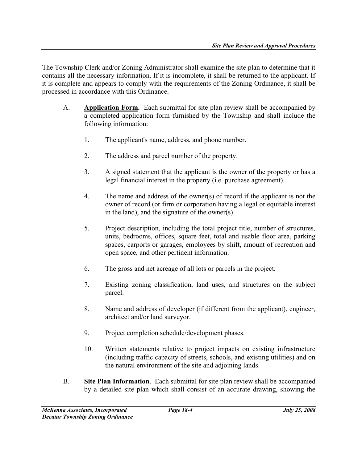The Township Clerk and/or Zoning Administrator shall examine the site plan to determine that it contains all the necessary information. If it is incomplete, it shall be returned to the applicant. If it is complete and appears to comply with the requirements of the Zoning Ordinance, it shall be processed in accordance with this Ordinance.

- A. Application Form. Each submittal for site plan review shall be accompanied by a completed application form furnished by the Township and shall include the following information:
	- 1. The applicant's name, address, and phone number.
	- 2. The address and parcel number of the property.
	- 3. A signed statement that the applicant is the owner of the property or has a legal financial interest in the property (i.e. purchase agreement).
	- 4. The name and address of the owner(s) of record if the applicant is not the owner of record (or firm or corporation having a legal or equitable interest in the land), and the signature of the owner(s).
	- 5. Project description, including the total project title, number of structures, units, bedrooms, offices, square feet, total and usable floor area, parking spaces, carports or garages, employees by shift, amount of recreation and open space, and other pertinent information.
	- 6. The gross and net acreage of all lots or parcels in the project.
	- 7. Existing zoning classification, land uses, and structures on the subject parcel.
	- 8. Name and address of developer (if different from the applicant), engineer, architect and/or land surveyor.
	- 9. Project completion schedule/development phases.
	- 10. Written statements relative to project impacts on existing infrastructure (including traffic capacity of streets, schools, and existing utilities) and on the natural environment of the site and adjoining lands.
- B. Site Plan Information. Each submittal for site plan review shall be accompanied by a detailed site plan which shall consist of an accurate drawing, showing the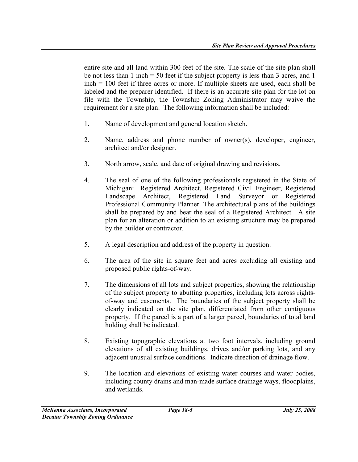entire site and all land within 300 feet of the site. The scale of the site plan shall be not less than 1 inch = 50 feet if the subject property is less than 3 acres, and 1 inch = 100 feet if three acres or more. If multiple sheets are used, each shall be labeled and the preparer identified. If there is an accurate site plan for the lot on file with the Township, the Township Zoning Administrator may waive the requirement for a site plan. The following information shall be included:

- 1. Name of development and general location sketch.
- 2. Name, address and phone number of owner(s), developer, engineer, architect and/or designer.
- 3. North arrow, scale, and date of original drawing and revisions.
- 4. The seal of one of the following professionals registered in the State of Michigan: Registered Architect, Registered Civil Engineer, Registered Landscape Architect, Registered Land Surveyor or Registered Professional Community Planner. The architectural plans of the buildings shall be prepared by and bear the seal of a Registered Architect. A site plan for an alteration or addition to an existing structure may be prepared by the builder or contractor.
- 5. A legal description and address of the property in question.
- 6. The area of the site in square feet and acres excluding all existing and proposed public rights-of-way.
- 7. The dimensions of all lots and subject properties, showing the relationship of the subject property to abutting properties, including lots across rightsof-way and easements. The boundaries of the subject property shall be clearly indicated on the site plan, differentiated from other contiguous property. If the parcel is a part of a larger parcel, boundaries of total land holding shall be indicated.
- 8. Existing topographic elevations at two foot intervals, including ground elevations of all existing buildings, drives and/or parking lots, and any adjacent unusual surface conditions. Indicate direction of drainage flow.
- 9. The location and elevations of existing water courses and water bodies, including county drains and man-made surface drainage ways, floodplains, and wetlands.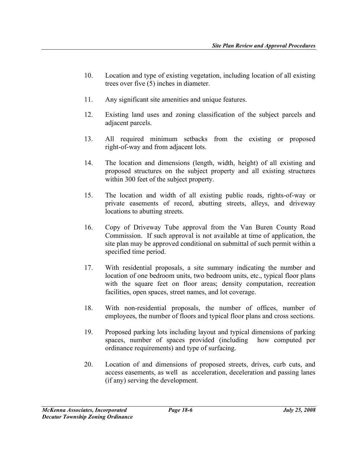- 10. Location and type of existing vegetation, including location of all existing trees over five (5) inches in diameter.
- 11. Any significant site amenities and unique features.
- 12. Existing land uses and zoning classification of the subject parcels and adjacent parcels.
- 13. All required minimum setbacks from the existing or proposed right-of-way and from adjacent lots.
- 14. The location and dimensions (length, width, height) of all existing and proposed structures on the subject property and all existing structures within 300 feet of the subject property.
- 15. The location and width of all existing public roads, rights-of-way or private easements of record, abutting streets, alleys, and driveway locations to abutting streets.
- 16. Copy of Driveway Tube approval from the Van Buren County Road Commission. If such approval is not available at time of application, the site plan may be approved conditional on submittal of such permit within a specified time period.
- 17. With residential proposals, a site summary indicating the number and location of one bedroom units, two bedroom units, etc., typical floor plans with the square feet on floor areas; density computation, recreation facilities, open spaces, street names, and lot coverage.
- 18. With non-residential proposals, the number of offices, number of employees, the number of floors and typical floor plans and cross sections.
- 19. Proposed parking lots including layout and typical dimensions of parking spaces, number of spaces provided (including how computed per ordinance requirements) and type of surfacing.
- 20. Location of and dimensions of proposed streets, drives, curb cuts, and access easements, as well as acceleration, deceleration and passing lanes (if any) serving the development.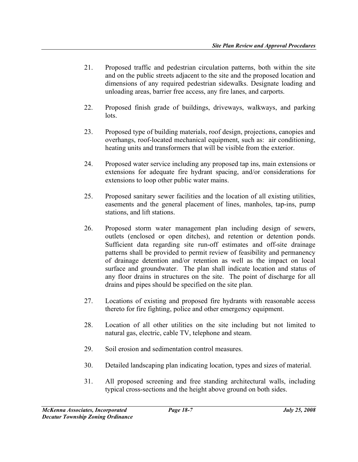- 21. Proposed traffic and pedestrian circulation patterns, both within the site and on the public streets adjacent to the site and the proposed location and dimensions of any required pedestrian sidewalks. Designate loading and unloading areas, barrier free access, any fire lanes, and carports.
- 22. Proposed finish grade of buildings, driveways, walkways, and parking lots.
- 23. Proposed type of building materials, roof design, projections, canopies and overhangs, roof-located mechanical equipment, such as: air conditioning, heating units and transformers that will be visible from the exterior.
- 24. Proposed water service including any proposed tap ins, main extensions or extensions for adequate fire hydrant spacing, and/or considerations for extensions to loop other public water mains.
- 25. Proposed sanitary sewer facilities and the location of all existing utilities, easements and the general placement of lines, manholes, tap-ins, pump stations, and lift stations.
- 26. Proposed storm water management plan including design of sewers, outlets (enclosed or open ditches), and retention or detention ponds. Sufficient data regarding site run-off estimates and off-site drainage patterns shall be provided to permit review of feasibility and permanency of drainage detention and/or retention as well as the impact on local surface and groundwater. The plan shall indicate location and status of any floor drains in structures on the site. The point of discharge for all drains and pipes should be specified on the site plan.
- 27. Locations of existing and proposed fire hydrants with reasonable access thereto for fire fighting, police and other emergency equipment.
- 28. Location of all other utilities on the site including but not limited to natural gas, electric, cable TV, telephone and steam.
- 29. Soil erosion and sedimentation control measures.
- 30. Detailed landscaping plan indicating location, types and sizes of material.
- 31. All proposed screening and free standing architectural walls, including typical cross-sections and the height above ground on both sides.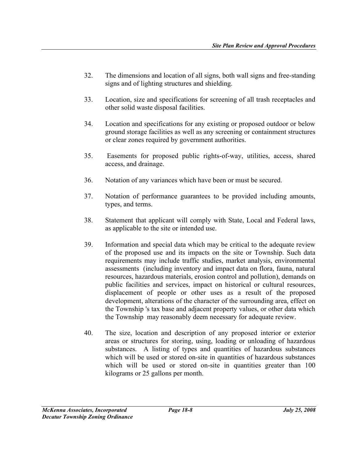- 32. The dimensions and location of all signs, both wall signs and free-standing signs and of lighting structures and shielding.
- 33. Location, size and specifications for screening of all trash receptacles and other solid waste disposal facilities.
- 34. Location and specifications for any existing or proposed outdoor or below ground storage facilities as well as any screening or containment structures or clear zones required by government authorities.
- 35. Easements for proposed public rights-of-way, utilities, access, shared access, and drainage.
- 36. Notation of any variances which have been or must be secured.
- 37. Notation of performance guarantees to be provided including amounts, types, and terms.
- 38. Statement that applicant will comply with State, Local and Federal laws, as applicable to the site or intended use.
- 39. Information and special data which may be critical to the adequate review of the proposed use and its impacts on the site or Township. Such data requirements may include traffic studies, market analysis, environmental assessments (including inventory and impact data on flora, fauna, natural resources, hazardous materials, erosion control and pollution), demands on public facilities and services, impact on historical or cultural resources, displacement of people or other uses as a result of the proposed development, alterations of the character of the surrounding area, effect on the Township 's tax base and adjacent property values, or other data which the Township may reasonably deem necessary for adequate review.
- 40. The size, location and description of any proposed interior or exterior areas or structures for storing, using, loading or unloading of hazardous substances. A listing of types and quantities of hazardous substances which will be used or stored on-site in quantities of hazardous substances which will be used or stored on-site in quantities greater than 100 kilograms or 25 gallons per month.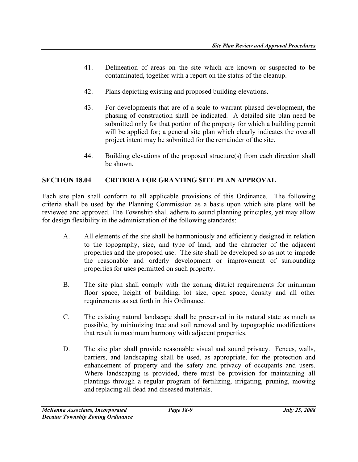- 41. Delineation of areas on the site which are known or suspected to be contaminated, together with a report on the status of the cleanup.
- 42. Plans depicting existing and proposed building elevations.
- 43. For developments that are of a scale to warrant phased development, the phasing of construction shall be indicated. A detailed site plan need be submitted only for that portion of the property for which a building permit will be applied for; a general site plan which clearly indicates the overall project intent may be submitted for the remainder of the site.
- 44. Building elevations of the proposed structure(s) from each direction shall be shown.

# SECTION 18.04 CRITERIA FOR GRANTING SITE PLAN APPROVAL

Each site plan shall conform to all applicable provisions of this Ordinance. The following criteria shall be used by the Planning Commission as a basis upon which site plans will be reviewed and approved. The Township shall adhere to sound planning principles, yet may allow for design flexibility in the administration of the following standards:

- A. All elements of the site shall be harmoniously and efficiently designed in relation to the topography, size, and type of land, and the character of the adjacent properties and the proposed use. The site shall be developed so as not to impede the reasonable and orderly development or improvement of surrounding properties for uses permitted on such property.
- B. The site plan shall comply with the zoning district requirements for minimum floor space, height of building, lot size, open space, density and all other requirements as set forth in this Ordinance.
- C. The existing natural landscape shall be preserved in its natural state as much as possible, by minimizing tree and soil removal and by topographic modifications that result in maximum harmony with adjacent properties.
- D. The site plan shall provide reasonable visual and sound privacy. Fences, walls, barriers, and landscaping shall be used, as appropriate, for the protection and enhancement of property and the safety and privacy of occupants and users. Where landscaping is provided, there must be provision for maintaining all plantings through a regular program of fertilizing, irrigating, pruning, mowing and replacing all dead and diseased materials.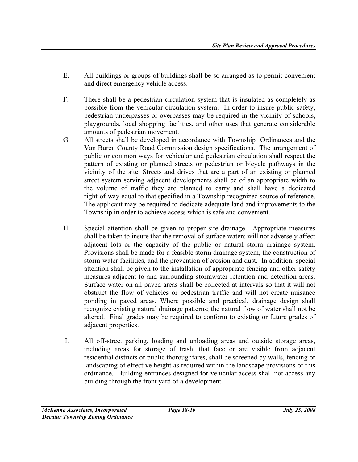- E. All buildings or groups of buildings shall be so arranged as to permit convenient and direct emergency vehicle access.
- F. There shall be a pedestrian circulation system that is insulated as completely as possible from the vehicular circulation system. In order to insure public safety, pedestrian underpasses or overpasses may be required in the vicinity of schools, playgrounds, local shopping facilities, and other uses that generate considerable amounts of pedestrian movement.
- G. All streets shall be developed in accordance with Township Ordinances and the Van Buren County Road Commission design specifications. The arrangement of public or common ways for vehicular and pedestrian circulation shall respect the pattern of existing or planned streets or pedestrian or bicycle pathways in the vicinity of the site. Streets and drives that are a part of an existing or planned street system serving adjacent developments shall be of an appropriate width to the volume of traffic they are planned to carry and shall have a dedicated right-of-way equal to that specified in a Township recognized source of reference. The applicant may be required to dedicate adequate land and improvements to the Township in order to achieve access which is safe and convenient.
- H. Special attention shall be given to proper site drainage. Appropriate measures shall be taken to insure that the removal of surface waters will not adversely affect adjacent lots or the capacity of the public or natural storm drainage system. Provisions shall be made for a feasible storm drainage system, the construction of storm-water facilities, and the prevention of erosion and dust. In addition, special attention shall be given to the installation of appropriate fencing and other safety measures adjacent to and surrounding stormwater retention and detention areas. Surface water on all paved areas shall be collected at intervals so that it will not obstruct the flow of vehicles or pedestrian traffic and will not create nuisance ponding in paved areas. Where possible and practical, drainage design shall recognize existing natural drainage patterns; the natural flow of water shall not be altered. Final grades may be required to conform to existing or future grades of adjacent properties.
- I. All off-street parking, loading and unloading areas and outside storage areas, including areas for storage of trash, that face or are visible from adjacent residential districts or public thoroughfares, shall be screened by walls, fencing or landscaping of effective height as required within the landscape provisions of this ordinance. Building entrances designed for vehicular access shall not access any building through the front yard of a development.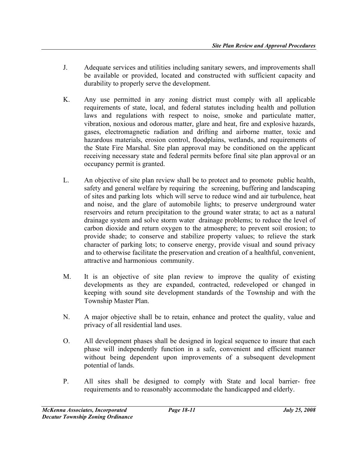- J. Adequate services and utilities including sanitary sewers, and improvements shall be available or provided, located and constructed with sufficient capacity and durability to properly serve the development.
- K. Any use permitted in any zoning district must comply with all applicable requirements of state, local, and federal statutes including health and pollution laws and regulations with respect to noise, smoke and particulate matter, vibration, noxious and odorous matter, glare and heat, fire and explosive hazards, gases, electromagnetic radiation and drifting and airborne matter, toxic and hazardous materials, erosion control, floodplains, wetlands, and requirements of the State Fire Marshal. Site plan approval may be conditioned on the applicant receiving necessary state and federal permits before final site plan approval or an occupancy permit is granted.
- L. An objective of site plan review shall be to protect and to promote public health, safety and general welfare by requiring the screening, buffering and landscaping of sites and parking lots which will serve to reduce wind and air turbulence, heat and noise, and the glare of automobile lights; to preserve underground water reservoirs and return precipitation to the ground water strata; to act as a natural drainage system and solve storm water drainage problems; to reduce the level of carbon dioxide and return oxygen to the atmosphere; to prevent soil erosion; to provide shade; to conserve and stabilize property values; to relieve the stark character of parking lots; to conserve energy, provide visual and sound privacy and to otherwise facilitate the preservation and creation of a healthful, convenient, attractive and harmonious community.
- M. It is an objective of site plan review to improve the quality of existing developments as they are expanded, contracted, redeveloped or changed in keeping with sound site development standards of the Township and with the Township Master Plan.
- N. A major objective shall be to retain, enhance and protect the quality, value and privacy of all residential land uses.
- O. All development phases shall be designed in logical sequence to insure that each phase will independently function in a safe, convenient and efficient manner without being dependent upon improvements of a subsequent development potential of lands.
- P. All sites shall be designed to comply with State and local barrier- free requirements and to reasonably accommodate the handicapped and elderly.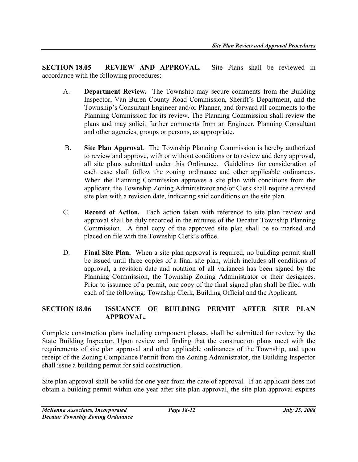SECTION 18.05 REVIEW AND APPROVAL. Site Plans shall be reviewed in accordance with the following procedures:

- A. Department Review. The Township may secure comments from the Building Inspector, Van Buren County Road Commission, Sheriff's Department, and the Township's Consultant Engineer and/or Planner, and forward all comments to the Planning Commission for its review. The Planning Commission shall review the plans and may solicit further comments from an Engineer, Planning Consultant and other agencies, groups or persons, as appropriate.
- B. Site Plan Approval. The Township Planning Commission is hereby authorized to review and approve, with or without conditions or to review and deny approval, all site plans submitted under this Ordinance. Guidelines for consideration of each case shall follow the zoning ordinance and other applicable ordinances. When the Planning Commission approves a site plan with conditions from the applicant, the Township Zoning Administrator and/or Clerk shall require a revised site plan with a revision date, indicating said conditions on the site plan.
- C. Record of Action. Each action taken with reference to site plan review and approval shall be duly recorded in the minutes of the Decatur Township Planning Commission. A final copy of the approved site plan shall be so marked and placed on file with the Township Clerk's office.
- D. Final Site Plan. When a site plan approval is required, no building permit shall be issued until three copies of a final site plan, which includes all conditions of approval, a revision date and notation of all variances has been signed by the Planning Commission, the Township Zoning Administrator or their designees. Prior to issuance of a permit, one copy of the final signed plan shall be filed with each of the following: Township Clerk, Building Official and the Applicant.

# SECTION 18.06 ISSUANCE OF BUILDING PERMIT AFTER SITE PLAN APPROVAL.

Complete construction plans including component phases, shall be submitted for review by the State Building Inspector. Upon review and finding that the construction plans meet with the requirements of site plan approval and other applicable ordinances of the Township, and upon receipt of the Zoning Compliance Permit from the Zoning Administrator, the Building Inspector shall issue a building permit for said construction.

Site plan approval shall be valid for one year from the date of approval. If an applicant does not obtain a building permit within one year after site plan approval, the site plan approval expires